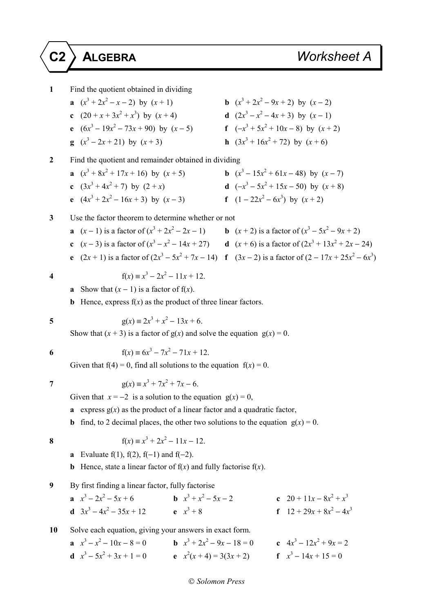**1** Find the quotient obtained in dividing **a**  $(x^3 + 2x^2 - x - 2)$  by  $(x + 1)$  **b** (*x*  $3 + 2x^2 - 9x + 2$ ) by  $(x - 2)$ **c**  $(20 + x + 3x^2 + x^3)$  by  $(x + 4)$  **d**  $(2x)$  $3-x^2-4x+3$ ) by  $(x-1)$ **e**  $(6x^3 - 19x^2 - 73x + 90)$  by  $(x - 5)$  **f**  $(-x)$  $3^3 + 5x^2 + 10x - 8$ ) by  $(x + 2)$ **g**  $(x^3 - 2x + 21)$  by  $(x + 3)$  **h**  $(3x)$  $3 + 16x^2 + 72$ ) by  $(x + 6)$ **2** Find the quotient and remainder obtained in dividing **a**  $(x^3 + 8x^2 + 17x + 16)$  by  $(x + 5)$  **b** (*x*  $3-15x^2+61x-48$ ) by  $(x-7)$ **c**  $(3x^3 + 4x^2 + 7)$  by  $(2 + x)$  **d**  $(-x)$  $3-5x^2+15x-50$  by  $(x+8)$ **e**  $(4x^3 + 2x^2 - 16x + 3)$  by  $(x - 3)$  **f**  $(1 - 22x)$  $(x^2-6x^3)$  by  $(x+2)$ **3** Use the factor theorem to determine whether or not **a**  $(x-1)$  is a factor of  $(x^3 + 2x^2 - 2x - 1)$  **b**  $(x+2)$  is a factor of  $(x^3 - 5x^2 - 9x + 2)$ **c**  $(x-3)$  is a factor of  $(x^3 - x^2 - 14x + 27)$  **d**  $(x+6)$  is a factor of  $(2x^3 + 13x^2 + 2x - 24)$ **e**  $(2x + 1)$  is a factor of  $(2x^3 - 5x^2 + 7x - 14)$  **f**  $(3x - 2)$  is a factor of  $(2 - 17x + 25x^2 - 6x^3)$ **4**  $f(x) = x^3 - 2x^2 - 11x + 12$ . **a** Show that  $(x - 1)$  is a factor of  $f(x)$ . **b** Hence, express  $f(x)$  as the product of three linear factors. **5**  $g(x) = 2x^3 + x^2 - 13x + 6.$ Show that  $(x + 3)$  is a factor of  $g(x)$  and solve the equation  $g(x) = 0$ . **6**  $f(x) = 6x^3 - 7x^2 - 71x + 12$ . Given that  $f(4) = 0$ , find all solutions to the equation  $f(x) = 0$ . **7**  $g(x) = x^3 + 7x^2 + 7x - 6.$ Given that  $x = -2$  is a solution to the equation  $g(x) = 0$ , **a** express  $g(x)$  as the product of a linear factor and a quadratic factor, **b** find, to 2 decimal places, the other two solutions to the equation  $g(x) = 0$ . **8** f(*x*)  $\equiv x^3 + 2x^2 - 11x - 12$ . **a** Evaluate f(1), f(2), f(-1) and f(-2). **b** Hence, state a linear factor of  $f(x)$  and fully factorise  $f(x)$ . **9** By first finding a linear factor, fully factorise **a**  $x^3 - 2x$  $2^2 - 5x + 6$  **b**  $x^3 + x$  $2^2 - 5x - 2$  **c**  $20 + 11x - 8x^2 + x^3$ **d**  $3x^3 - 4x^2 - 35x + 12$  **e** *x*  $x^3 + 8$ + 8 **f**  $12 + 29x + 8x^2 - 4x^3$ **10** Solve each equation, giving your answers in exact form. **a**  $x^3 - x^2 - 10x - 8 = 0$  **b**  $x^3 + 2x^2 - 9x - 18 = 0$  **c**  $4x^3 - 12x^2 + 9x = 2$ **d**  $x^3 - 5x^2 + 3x + 1 = 0$  **e**  $x^2(x + 4) = 3(3x + 2)$  **f** *x*  $f \quad x^3 - 14x + 15 = 0$ 

## *Solomon Press*